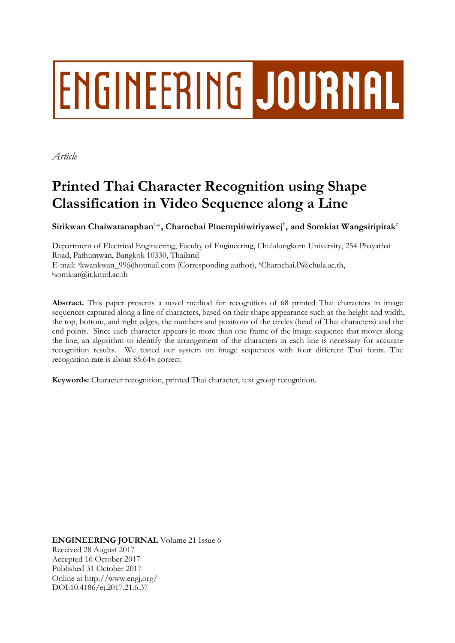# ENGINEERING JOURNAL

*Article*

# **Printed Thai Character Recognition using Shape Classification in Video Sequence along a Line**

 $\mathbf{Sirikwan}\text{ Chaiwatanaphan}^{a,*}, \text{Charnchai}\text{ Pluempitiwiriyawej}^b, \text{and}\text{ Somkiat}\text{Wangsiripitak}^c$ 

Department of Electrical Engineering, Faculty of Engineering, Chulalongkorn University, 254 Phayathai Road, Pathumwan, Bangkok 10330, Thailand E-mail: <sup>a</sup>kwankwan\_99@hotmail.com (Corresponding author), <sup>b</sup>Charnchai.P@chula.ac.th, <sup>c</sup>somkiat@it.kmitl.ac.th

**Abstract.** This paper presents a novel method for recognition of 68 printed Thai characters in image sequences captured along a line of characters, based on their shape appearance such as the height and width, the top, bottom, and right edges, the numbers and positions of the circles (head of Thai characters) and the end points. Since each character appears in more than one frame of the image sequence that moves along the line, an algorithm to identify the arrangement of the characters in each line is necessary for accurate recognition results. We tested our system on image sequences with four different Thai fonts. The recognition rate is about 85.64% correct.

**Keywords:** Character recognition, printed Thai character, text group recognition.

**ENGINEERING JOURNAL** Volume 21 Issue 6 Received 28 August 2017 Accepted 16 October 2017 Published 31 October 2017 Online at http://www.engj.org/ DOI:10.4186/ej.2017.21.6.37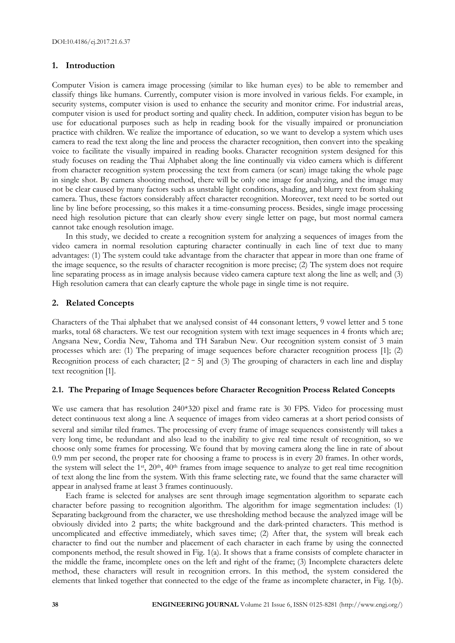# **1. Introduction**

Computer Vision is camera image processing (similar to like human eyes) to be able to remember and classify things like humans. Currently, computer vision is more involved in various fields. For example, in security systems, computer vision is used to enhance the security and monitor crime. For industrial areas, computer vision is used for product sorting and quality check. In addition, computer vision has begun to be use for educational purposes such as help in reading book for the visually impaired or pronunciation practice with children. We realize the importance of education, so we want to develop a system which uses camera to read the text along the line and process the character recognition, then convert into the speaking voice to facilitate the visually impaired in reading books. Character recognition system designed for this study focuses on reading the Thai Alphabet along the line continually via video camera which is different from character recognition system processing the text from camera (or scan) image taking the whole page in single shot. By camera shooting method, there will be only one image for analyzing, and the image may not be clear caused by many factors such as unstable light conditions, shading, and blurry text from shaking camera. Thus, these factors considerably affect character recognition. Moreover, text need to be sorted out line by line before processing, so this makes it a time-consuming process. Besides, single image processing need high resolution picture that can clearly show every single letter on page, but most normal camera cannot take enough resolution image.

In this study, we decided to create a recognition system for analyzing a sequences of images from the video camera in normal resolution capturing character continually in each line of text due to many advantages: (1) The system could take advantage from the character that appear in more than one frame of the image sequence, so the results of character recognition is more precise; (2) The system does not require line separating process as in image analysis because video camera capture text along the line as well; and (3) High resolution camera that can clearly capture the whole page in single time is not require.

# **2. Related Concepts**

Characters of the Thai alphabet that we analysed consist of 44 consonant letters, 9 vowel letter and 5 tone marks, total 68 characters. We test our recognition system with text image sequences in 4 fronts which are; Angsana New, Cordia New, Tahoma and TH Sarabun New. Our recognition system consist of 3 main processes which are: (1) The preparing of image sequences before character recognition process [1]; (2) Recognition process of each character;  $[2 - 5]$  and (3) The grouping of characters in each line and display text recognition [1].

# **2.1. The Preparing of Image Sequences before Character Recognition Process Related Concepts**

We use camera that has resolution 240\*320 pixel and frame rate is 30 FPS. Video for processing must detect continuous text along a line. A sequence of images from video cameras at a short period consists of several and similar tiled frames. The processing of every frame of image sequences consistently will takes a very long time, be redundant and also lead to the inability to give real time result of recognition, so we choose only some frames for processing. We found that by moving camera along the line in rate of about 0.9 mm per second, the proper rate for choosing a frame to process is in every 20 frames. In other words, the system will select the 1<sup>st</sup>, 20<sup>th</sup>, 40<sup>th</sup> frames from image sequence to analyze to get real time recognition of text along the line from the system. With this frame selecting rate, we found that the same character will appear in analysed frame at least 3 frames continuously.

Each frame is selected for analyses are sent through image segmentation algorithm to separate each character before passing to recognition algorithm. The algorithm for image segmentation includes: (1) Separating background from the character, we use thresholding method because the analyzed image will be obviously divided into 2 parts; the white background and the dark-printed characters. This method is uncomplicated and effective immediately, which saves time; (2) After that, the system will break each character to find out the number and placement of each character in each frame by using the connected components method, the result showed in Fig. 1(a). It shows that a frame consists of complete character in the middle the frame, incomplete ones on the left and right of the frame; (3) Incomplete characters delete method, these characters will result in recognition errors. In this method, the system considered the elements that linked together that connected to the edge of the frame as incomplete character, in Fig. 1(b).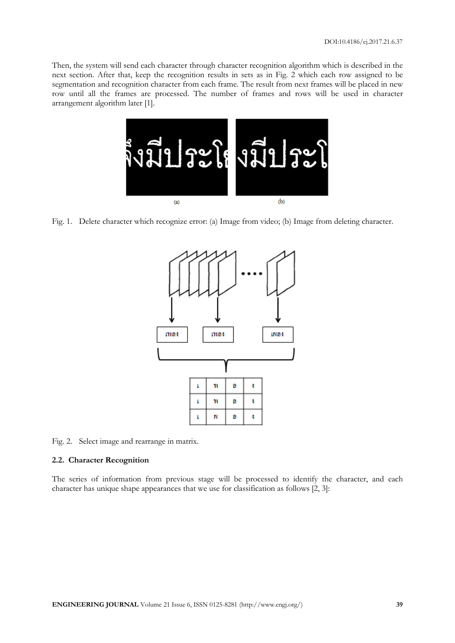Then, the system will send each character through character recognition algorithm which is described in the next section. After that, keep the recognition results in sets as in Fig. 2 which each row assigned to be segmentation and recognition character from each frame. The result from next frames will be placed in new row until all the frames are processed. The number of frames and rows will be used in character arrangement algorithm later [1].



Fig. 1. Delete character which recognize error: (a) Image from video; (b) Image from deleting character.



Fig. 2. Select image and rearrange in matrix.

#### **2.2. Character Recognition**

The series of information from previous stage will be processed to identify the character, and each character has unique shape appearances that we use for classification as follows [2, 3]: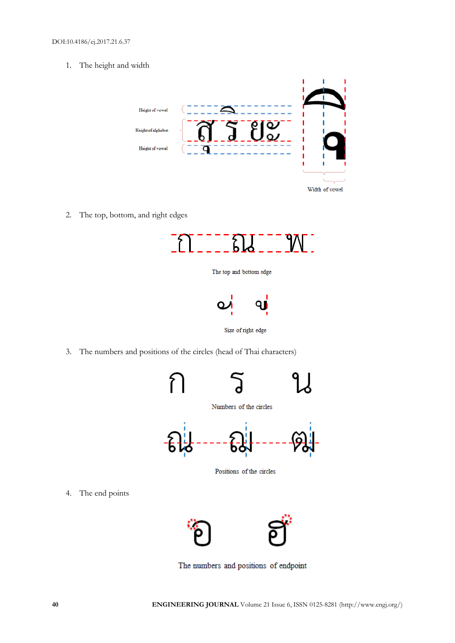1. The height and width



2. The top, bottom, and right edges







3. The numbers and positions of the circles (head of Thai characters)



4. The end points



The numbers and positions of endpoint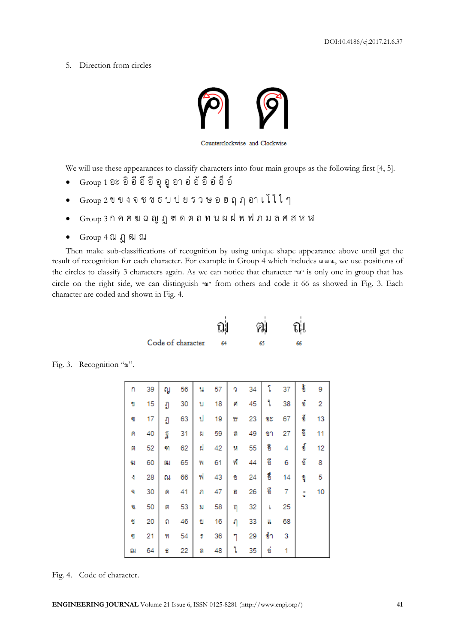5. Direction from circles



We will use these appearances to classify characters into four main groups as the following first [4, 5].

- $G$ roup 1 อะ อิ อี อี อี อี อุ อู อา อ่ อ้ อ๊ อ๋ อิ์ อ์
- $G$ roup 2 ข ข ง จ ช ซ ธ บ ป ย ร ว ษ อ ฮ ฤ ฦ อา เ โ ใ ไ ๆ
- Group <sup>3</sup> ก ค ฅ ฆ ฉ ญ ฎ ฑ ด ต ถ ท น ผ ฝ พ ฟ ภ ม ล ศ ส ห ฬ
- Group 4 ฌ ฏ ฒ ณ

Then make sub-classifications of recognition by using unique shape appearance above until get the result of recognition for each character. For example in Group 4 which includes ฌ ฒ ณ, we use positions of the circles to classify 3 characters again. As we can notice that character "ณ" is only one in group that has circle on the right side, we can distinguish "ณ" from others and code it 66 as showed in Fig. 3. Each character are coded and shown in Fig. 4.

|                   | ฌู | ରା | ณี |
|-------------------|----|----|----|
| Code of character | 64 | 65 | 66 |

| ก | 39 | ល្វ | 56 | น  | 57 | ą | 34 | î   | 37 | อ้  | 9  |
|---|----|-----|----|----|----|---|----|-----|----|-----|----|
| I | 15 | ŋ   | 30 | บ  | 18 | Й | 45 | ٩   | 38 | ข้  | 2  |
| q | 17 | ŋ   | 63 | ป  | 19 | Ħ | 23 | 93  | 67 | ขึ  | 13 |
| Α | 40 | ត្ត | 31 | Ы  | 59 | ø | 49 | ขา  | 27 | ã   | 11 |
| 闁 | 52 | ٩η  | 62 | ฝ  | 42 | N | 55 | จิ  | 4  | ข้  | 12 |
| g | 60 | 鳯   | 65 | W  | 61 | Ŵ | 44 | อี  | 6  | ข้  | 8  |
| 4 | 28 | ณ   | 66 | W  | 43 | Ð | 24 | ซึ่ | 14 | ម៉ឺ | 5  |
| ۹ | 30 | Й   | 41 | ภ  | 47 | ũ | 26 | ชื  | 7  | t   | 10 |
| D | 50 | M   | 53 | 'n | 58 | η | 32 | ŀ   | 25 |     |    |
| I | 20 | ถ   | 46 | 힙  | 16 | η | 33 | u   | 68 |     |    |
| 衜 | 21 | 91  | 54 | đ  | 36 | 1 | 29 | ข้า | 3  |     |    |
| ฌ | 64 | £   | 22 | ล  | 48 | Ί | 35 | ข่  | 1  |     |    |

Fig. 3. Recognition "ฌ".

Fig. 4. Code of character.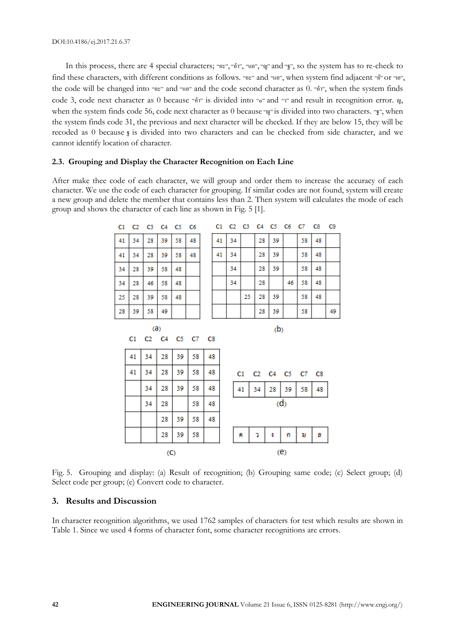In this process, there are 4 special characters; "อะ", "อำ", "แอ", "ญ" and "ฐ", so the system has to re-check to find these characters, with different conditions as follows. "อะ" and "แอ", when system find adjacent "อั" or "เอ", the code will be changed into "อะ" and "แอ" and the code second character as 0. "อำ", when the system finds code 3, code next character as 0 because "อำ" is divided into " $\circ$ " and " $\circ$ " and result in recognition error.  $\theta$ , when the system finds code 56, code next character as 0 because "ญ" is divided into two characters. "ฐ", when the system finds code 31, the previous and next character will be checked. If they are below 15, they will be recoded as 0 because ฐ is divided into two characters and can be checked from side character, and we cannot identify location of character.

#### **2.3. Grouping and Display the Character Recognition on Each Line**

After make thee code of each character, we will group and order them to increase the accuracy of each character. We use the code of each character for grouping. If similar codes are not found, system will create a new group and delete the member that contains less than 2. Then system will calculates the mode of each group and shows the character of each line as shown in Fig. 5 [1].

| C1 | C <sub>2</sub> |    |    | C3 C4 C5 C6 |    |
|----|----------------|----|----|-------------|----|
| 41 | 34             | 28 | 39 | 58          | 48 |
| 41 | 34             | 28 | 39 | 58          | 48 |
| 34 | 28             | 39 | 58 | 48          |    |
| 34 | 28             | 46 | 58 | 48          |    |
| 25 | 28             | 39 | 58 | 48          |    |
| 28 | 39             | 58 | 49 |             |    |
|    |                |    |    |             |    |

 $(a)$ 

| C <sub>1</sub> | $C2$ $C3$ |    |    |    |    | C4 C5 C6 C7 C8 |    | C9 |
|----------------|-----------|----|----|----|----|----------------|----|----|
| 41             | 34        |    | 28 | 39 |    | 58             | 48 |    |
| 41             | 34        |    | 28 | 39 |    | 58             | 48 |    |
|                | 34        |    | 28 | 39 |    | 58             | 48 |    |
|                | 34        |    | 28 |    | 46 | 58             | 48 |    |
|                |           | 25 | 28 | 39 |    | 58             | 48 |    |
|                |           |    | 28 | 39 |    | 58             |    | 49 |

(b)

 $C2$  $C1$  $C<sub>4</sub>$ C<sub>5</sub> C7 C<sub>8</sub>



Fig. 5. Grouping and display: (a) Result of recognition; (b) Grouping same code; (c) Select group; (d) Select code per group; (e) Convert code to character.

## **3. Results and Discussion**

In character recognition algorithms, we used 1762 samples of characters for test which results are shown in Table 1. Since we used 4 forms of character font, some character recognitions are errors.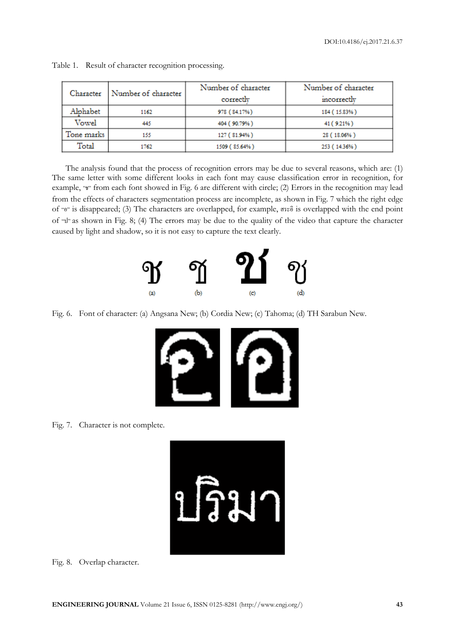| Character  | Number of character | Number of character | Number of character |  |
|------------|---------------------|---------------------|---------------------|--|
|            |                     | correctly           | incorrectly         |  |
| Alphabet   | 1162                | 978 (84.17%)        | 184 (15.83%)        |  |
| Vowel      | 445                 | 404 (90.79%)        | 41 (9.21%)          |  |
| Tone marks | 155                 | 127 (81.94%)        | 28 (18.06%)         |  |
| Total      | 1762                | 1509 (85.64%)       | 253 (14.36%)        |  |

Table 1. Result of character recognition processing.

The analysis found that the process of recognition errors may be due to several reasons, which are: (1) The same letter with some different looks in each font may cause classification error in recognition, for example, "ช" from each font showed in Fig. 6 are different with circle; (2) Errors in the recognition may lead from the effects of characters segmentation process are incomplete, as shown in Fig. 7 which the right edge of "อ" is disappeared; (3) The characters are overlapped, for example, สระอิis overlapped with the end point of "ป" as shown in Fig. 8; (4) The errors may be due to the quality of the video that capture the character caused by light and shadow, so it is not easy to capture the text clearly.



Fig. 6. Font of character: (a) Angsana New; (b) Cordia New; (c) Tahoma; (d) TH Sarabun New.



Fig. 7. Character is not complete.



Fig. 8. Overlap character.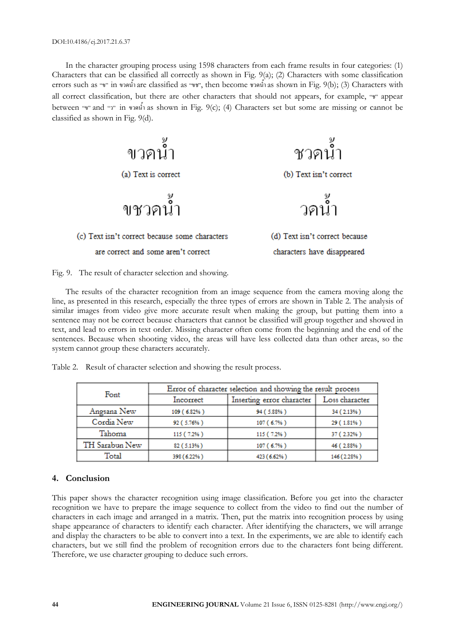In the character grouping process using 1598 characters from each frame results in four categories: (1) Characters that can be classified all correctly as shown in Fig. 9(a); (2) Characters with some classification errors such as "ข" in ขวดน้ำ are classified as "ขช", then become ชวดน้ำ as shown in Fig. 9(b); (3) Characters with all correct classification, but there are other characters that should not appears, for example, "ช" appear between "v" and "7" in vaning as shown in Fig. 9(c); (4) Characters set but some are missing or cannot be classified as shown in Fig. 9(d).





The results of the character recognition from an image sequence from the camera moving along the line, as presented in this research, especially the three types of errors are shown in Table 2. The analysis of similar images from video give more accurate result when making the group, but putting them into a sentence may not be correct because characters that cannot be classified will group together and showed in text, and lead to errors in text order. Missing character often come from the beginning and the end of the sentences. Because when shooting video, the areas will have less collected data than other areas, so the system cannot group these characters accurately.

Table 2. Result of character selection and showing the result process.

| Font           | Error of character selection and showing the result process |                           |                |  |  |  |
|----------------|-------------------------------------------------------------|---------------------------|----------------|--|--|--|
|                | Incorrect                                                   | Inserting error character | Loss character |  |  |  |
| Angsana New    | 109 (6.82%)                                                 | 94 (5.88%)                | 34 (2.13%)     |  |  |  |
| Cordia New     | 92 (5.76%)                                                  | 107 (6.7%)                | 29 (1.81%)     |  |  |  |
| Tahoma         | 115 (7.2%)                                                  | 115 (7.2%)                | 37 (2.32%)     |  |  |  |
| TH Sarabun New | 82 (5.13%)                                                  | 107 (6.7%)                | 46 (2.88%)     |  |  |  |
| Total          | 398 (6.22%)                                                 | 423 (6.62%)               | 146 (2.28%)    |  |  |  |

# **4. Conclusion**

This paper shows the character recognition using image classification. Before you get into the character recognition we have to prepare the image sequence to collect from the video to find out the number of characters in each image and arranged in a matrix. Then, put the matrix into recognition process by using shape appearance of characters to identify each character. After identifying the characters, we will arrange and display the characters to be able to convert into a text. In the experiments, we are able to identify each characters, but we still find the problem of recognition errors due to the characters font being different. Therefore, we use character grouping to deduce such errors.